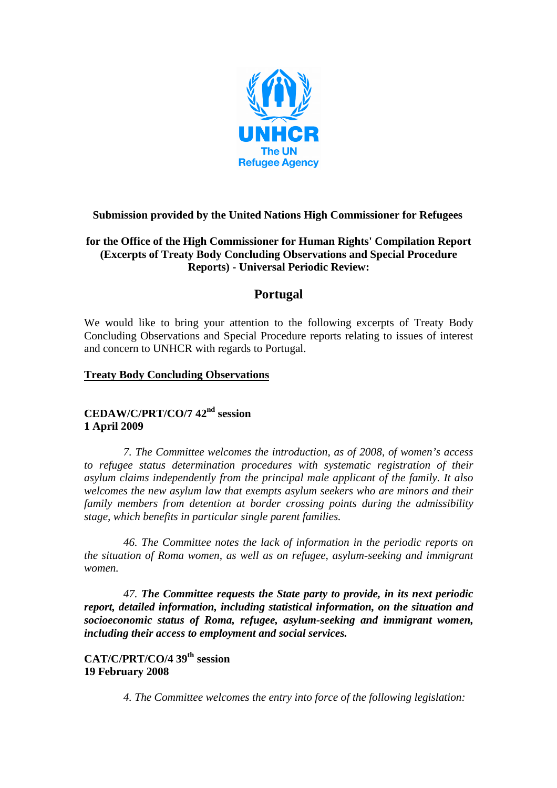

### **Submission provided by the United Nations High Commissioner for Refugees**

### **for the Office of the High Commissioner for Human Rights' Compilation Report (Excerpts of Treaty Body Concluding Observations and Special Procedure Reports) - Universal Periodic Review:**

# **Portugal**

We would like to bring your attention to the following excerpts of Treaty Body Concluding Observations and Special Procedure reports relating to issues of interest and concern to UNHCR with regards to Portugal.

#### **Treaty Body Concluding Observations**

# **CEDAW/C/PRT/CO/7 42nd session 1 April 2009**

*7. The Committee welcomes the introduction, as of 2008, of women's access to refugee status determination procedures with systematic registration of their asylum claims independently from the principal male applicant of the family. It also welcomes the new asylum law that exempts asylum seekers who are minors and their family members from detention at border crossing points during the admissibility stage, which benefits in particular single parent families.* 

*46. The Committee notes the lack of information in the periodic reports on the situation of Roma women, as well as on refugee, asylum-seeking and immigrant women.* 

*47. The Committee requests the State party to provide, in its next periodic report, detailed information, including statistical information, on the situation and socioeconomic status of Roma, refugee, asylum-seeking and immigrant women, including their access to employment and social services.* 

**CAT/C/PRT/CO/4 39th session 19 February 2008**

*4. The Committee welcomes the entry into force of the following legislation:*